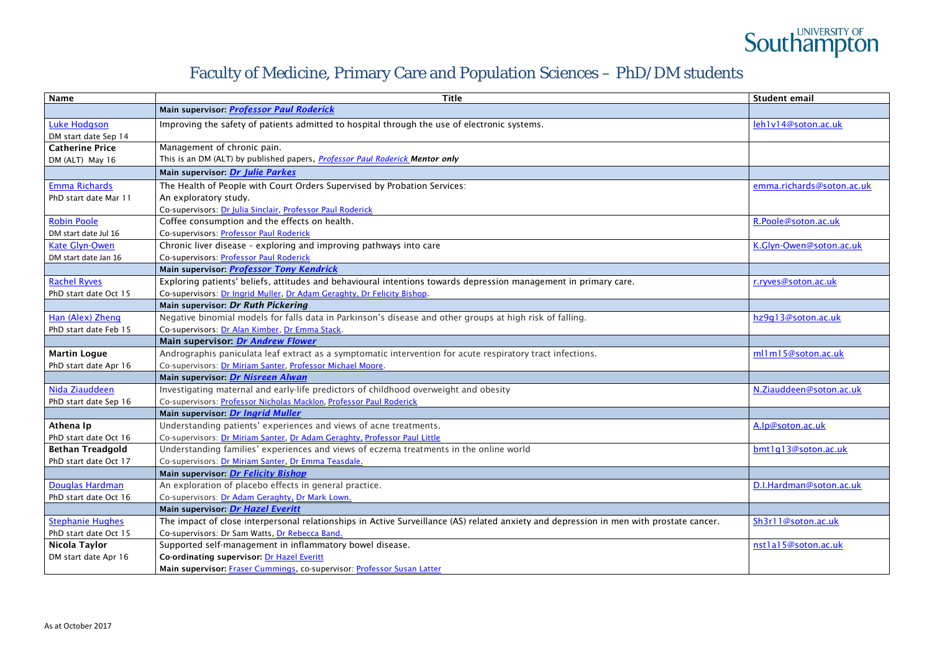# **Southampton**

# Faculty of Medicine, Primary Care and Population Sciences – PhD/DM students

| <b>Name</b>             | <b>Title</b>                                                                                                                            | Student email             |
|-------------------------|-----------------------------------------------------------------------------------------------------------------------------------------|---------------------------|
|                         | Main supervisor: <b>Professor Paul Roderick</b>                                                                                         |                           |
| <b>Luke Hodgson</b>     | Improving the safety of patients admitted to hospital through the use of electronic systems.                                            | leh1v14@soton.ac.uk       |
| DM start date Sep 14    |                                                                                                                                         |                           |
| <b>Catherine Price</b>  | Management of chronic pain.                                                                                                             |                           |
| DM (ALT) May 16         | This is an DM (ALT) by published papers, <i>Professor Paul Roderick Mentor only</i>                                                     |                           |
|                         | Main supervisor: Dr Julie Parkes                                                                                                        |                           |
| <b>Emma Richards</b>    | The Health of People with Court Orders Supervised by Probation Services:                                                                | emma.richards@soton.ac.uk |
| PhD start date Mar 11   | An exploratory study.                                                                                                                   |                           |
|                         | Co-supervisors: Dr Julia Sinclair, Professor Paul Roderick                                                                              |                           |
| <b>Robin Poole</b>      | Coffee consumption and the effects on health.                                                                                           | R.Poole@soton.ac.uk       |
| DM start date Jul 16    | Co-supervisors: Professor Paul Roderick                                                                                                 |                           |
| <b>Kate Glyn-Owen</b>   | Chronic liver disease - exploring and improving pathways into care                                                                      | K.Glyn-Owen@soton.ac.uk   |
| DM start date Jan 16    | Co-supervisors: Professor Paul Roderick                                                                                                 |                           |
|                         | Main supervisor: <b>Professor Tony Kendrick</b>                                                                                         |                           |
| <b>Rachel Ryves</b>     | Exploring patients' beliefs, attitudes and behavioural intentions towards depression management in primary care.                        | r.ryves@soton.ac.uk       |
| PhD start date Oct 15   | Co-supervisors: Dr Ingrid Muller, Dr Adam Geraghty, Dr Felicity Bishop.                                                                 |                           |
|                         | Main supervisor: Dr Ruth Pickering                                                                                                      |                           |
| Han (Alex) Zheng        | Negative binomial models for falls data in Parkinson's disease and other groups at high risk of falling.                                | hz9q13@soton.ac.uk        |
| PhD start date Feb 15   | Co-supervisors: Dr Alan Kimber, Dr Emma Stack.                                                                                          |                           |
|                         | Main supervisor: Dr Andrew Flower                                                                                                       |                           |
| <b>Martin Logue</b>     | Andrographis paniculata leaf extract as a symptomatic intervention for acute respiratory tract infections.                              | ml1m15@soton.ac.uk        |
| PhD start date Apr 16   | Co-supervisors: Dr Miriam Santer, Professor Michael Moore.                                                                              |                           |
|                         | Main supervisor: Dr Nisreen Alwan                                                                                                       |                           |
| Nida Ziauddeen          | Investigating maternal and early-life predictors of childhood overweight and obesity                                                    | N.Ziauddeen@soton.ac.uk   |
| PhD start date Sep 16   | Co-supervisors: Professor Nicholas Macklon, Professor Paul Roderick                                                                     |                           |
|                         | Main supervisor: Dr Ingrid Muller                                                                                                       |                           |
| Athena Ip               | Understanding patients' experiences and views of acne treatments.                                                                       | A.lp@soton.ac.uk          |
| PhD start date Oct 16   | Co-supervisors: Dr Miriam Santer, Dr Adam Geraghty, Professor Paul Little                                                               |                           |
| <b>Bethan Treadgold</b> | Understanding families' experiences and views of eczema treatments in the online world                                                  | bmt1q13@soton.ac.uk       |
| PhD start date Oct 17   | Co-supervisors: Dr Miriam Santer, Dr Emma Teasdale.                                                                                     |                           |
|                         | Main supervisor Dr Felicity Bishop                                                                                                      |                           |
| <b>Douglas Hardman</b>  | An exploration of placebo effects in general practice.                                                                                  | D.I.Hardman@soton.ac.uk   |
| PhD start date Oct 16   | Co-supervisors: Dr Adam Geraghty, Dr Mark Lown.                                                                                         |                           |
|                         | Main supervisor <i>Dr Hazel Everitt</i>                                                                                                 |                           |
| <b>Stephanie Hughes</b> | The impact of close interpersonal relationships in Active Surveillance (AS) related anxiety and depression in men with prostate cancer. | Sh3r11@soton.ac.uk        |
| PhD start date Oct 15   | Co-supervisors: Dr Sam Watts, Dr Rebecca Band.                                                                                          |                           |
| Nicola Taylor           | Supported self-management in inflammatory bowel disease.                                                                                | nstlal5@soton.ac.uk       |
| DM start date Apr 16    | Co-ordinating supervisor: Dr Hazel Everitt                                                                                              |                           |
|                         | Main supervisor: Fraser Cummings, co-supervisor: Professor Susan Latter                                                                 |                           |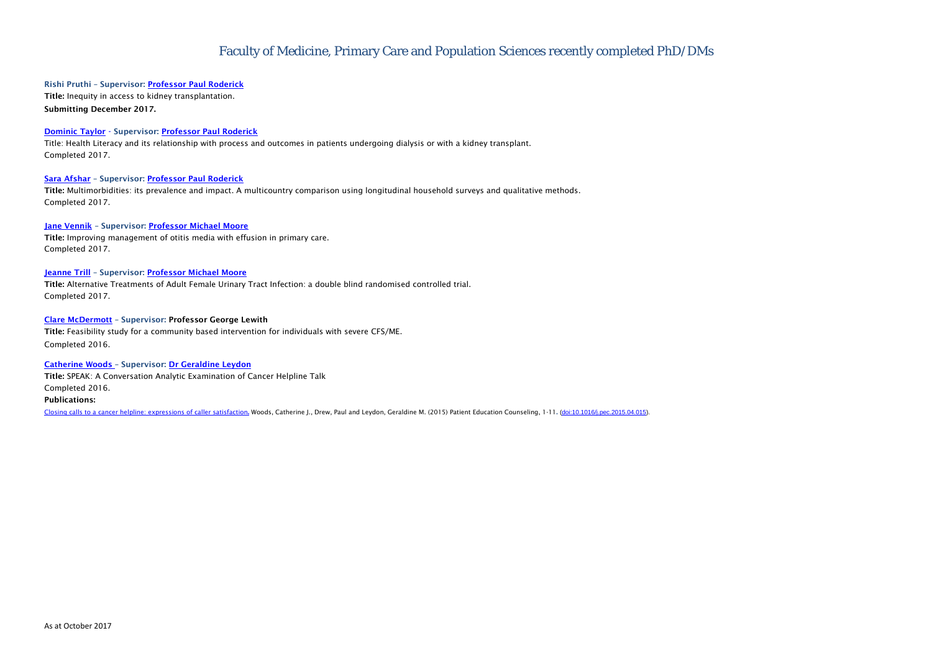## Faculty of Medicine, Primary Care and Population Sciences recently completed PhD/DMs

## Rishi Pruthi - Supervisor: [Professor Paul Roderick](http://www.southampton.ac.uk/medicine/about/staff/pjr.page?)

Title: Inequity in access to kidney transplantation. Submitting December 2017.

## **[Dominic Taylor](http://www.southampton.ac.uk/medicine/postgraduate/research_students/dmt1g15.page)** - Supervisor: **[Professor Paul Roderick](https://www.southampton.ac.uk/medicine/about/staff/pjr.page?)**

Title: Health Literacy and its relationship with process and outcomes in patients undergoing dialysis or with a kidney transplant. Completed 2017.

#### [Sara Afshar](https://www.southampton.ac.uk/medicine/postgraduate/research_students/sa2706.page?) - Supervisor: [Professor Paul Roderick](https://www.southampton.ac.uk/medicine/about/staff/pjr.page?)

Title: Multimorbidities: its prevalence and impact. A multicountry comparison using longitudinal household surveys and qualitative methods. Completed 2017.

#### Jane [Vennik](https://www.southampton.ac.uk/medicine/postgraduate/research_students/jv1v10.page?) - Supervisor: [Professor Michael Moore](https://www.southampton.ac.uk/medicine/about/staff/mvm198.page)

Title: Improving management of otitis media with effusion in primary care. Completed 2017.

#### [Jeanne Trill](https://www.southampton.ac.uk/medicine/postgraduate/research_students/jldt1g12.page?) - Supervisor: [Professor Michael Moore](https://www.southampton.ac.uk/medicine/about/staff/mvm198.page)

Title: Alternative Treatments of Adult Female Urinary Tract Infection: a double blind randomised controlled trial. Completed 2017.

#### [Clare McDermott](file://soton.ac.uk/medicine/Divisions/CCS/PMC/Jane%20Cousins/My%20Web%20Sites/PCPS%20webpages/PCPS%20PhD%20doc/Clare%20McDermott) – Supervisor: Professor George Lewith

Title: Feasibility study for a community based intervention for individuals with severe CFS/ME. Completed 2016.

#### [Catherine Woods](http://www.southampton.ac.uk/medicine/postgraduate/research_students/cjw1y11.page?) – Supervisor: [Dr Geraldine Leydon](http://www.southampton.ac.uk/medicine/about/staff/gerry.page?)

Title: SPEAK: A Conversation Analytic Examination of Cancer Helpline Talk Completed 2016. Publications:

[Closing calls to a cancer helpline: expressions of caller satisfaction](http://eprints.soton.ac.uk/376907/). Woods, Catherine J., Drew, Paul and Leydon, Geraldine M. (2015) Patient Education Counseling, 1-11. [\(doi:10.1016/j.pec.2015.04.015\)](http://dx.doi.org/10.1016/j.pec.2015.04.015).